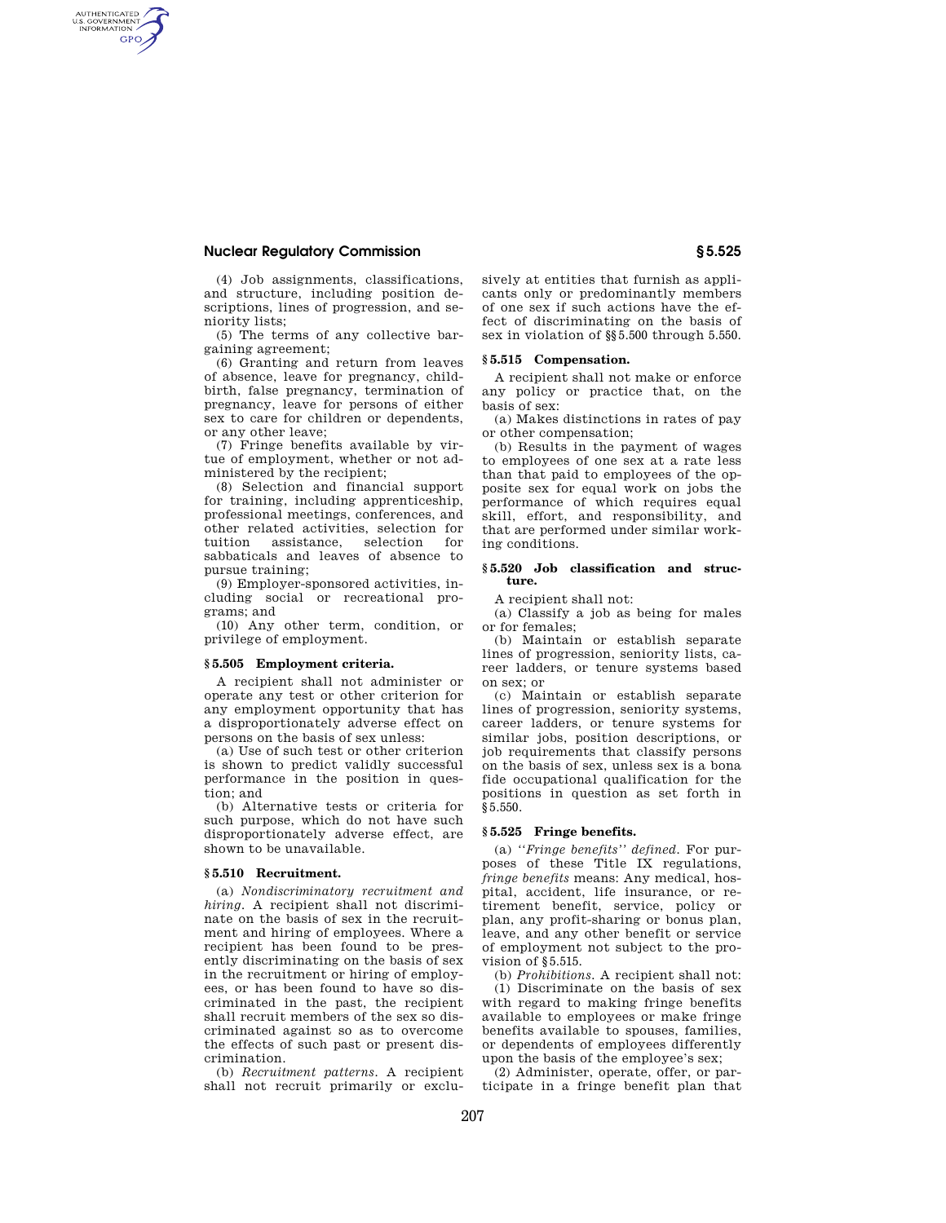# **Nuclear Regulatory Commission § 5.525**

AUTHENTICATED<br>U.S. GOVERNMENT<br>INFORMATION **GPO** 

> (4) Job assignments, classifications, and structure, including position descriptions, lines of progression, and seniority lists;

> (5) The terms of any collective bargaining agreement;

> (6) Granting and return from leaves of absence, leave for pregnancy, childbirth, false pregnancy, termination of pregnancy, leave for persons of either sex to care for children or dependents, or any other leave;

> (7) Fringe benefits available by virtue of employment, whether or not administered by the recipient;

(8) Selection and financial support for training, including apprenticeship, professional meetings, conferences, and other related activities, selection for tuition assistance, selection for sabbaticals and leaves of absence to pursue training;

(9) Employer-sponsored activities, including social or recreational programs; and

(10) Any other term, condition, or privilege of employment.

# **§ 5.505 Employment criteria.**

A recipient shall not administer or operate any test or other criterion for any employment opportunity that has a disproportionately adverse effect on persons on the basis of sex unless:

(a) Use of such test or other criterion is shown to predict validly successful performance in the position in question; and

(b) Alternative tests or criteria for such purpose, which do not have such disproportionately adverse effect, are shown to be unavailable.

### **§ 5.510 Recruitment.**

(a) *Nondiscriminatory recruitment and hiring.* A recipient shall not discriminate on the basis of sex in the recruitment and hiring of employees. Where a recipient has been found to be presently discriminating on the basis of sex in the recruitment or hiring of employees, or has been found to have so discriminated in the past, the recipient shall recruit members of the sex so discriminated against so as to overcome the effects of such past or present discrimination.

(b) *Recruitment patterns.* A recipient shall not recruit primarily or exclusively at entities that furnish as applicants only or predominantly members of one sex if such actions have the effect of discriminating on the basis of sex in violation of §§5.500 through 5.550.

#### **§ 5.515 Compensation.**

A recipient shall not make or enforce any policy or practice that, on the basis of sex:

(a) Makes distinctions in rates of pay or other compensation;

(b) Results in the payment of wages to employees of one sex at a rate less than that paid to employees of the opposite sex for equal work on jobs the performance of which requires equal skill, effort, and responsibility, and that are performed under similar working conditions.

## **§ 5.520 Job classification and structure.**

A recipient shall not:

(a) Classify a job as being for males or for females;

(b) Maintain or establish separate lines of progression, seniority lists, career ladders, or tenure systems based on sex; or

(c) Maintain or establish separate lines of progression, seniority systems, career ladders, or tenure systems for similar jobs, position descriptions, or job requirements that classify persons on the basis of sex, unless sex is a bona fide occupational qualification for the positions in question as set forth in §5.550.

# **§ 5.525 Fringe benefits.**

(a) *''Fringe benefits'' defined.* For purposes of these Title IX regulations, *fringe benefits* means: Any medical, hospital, accident, life insurance, or retirement benefit, service, policy or plan, any profit-sharing or bonus plan, leave, and any other benefit or service of employment not subject to the provision of §5.515.

(b) *Prohibitions.* A recipient shall not: (1) Discriminate on the basis of sex with regard to making fringe benefits available to employees or make fringe benefits available to spouses, families, or dependents of employees differently upon the basis of the employee's sex;

(2) Administer, operate, offer, or participate in a fringe benefit plan that